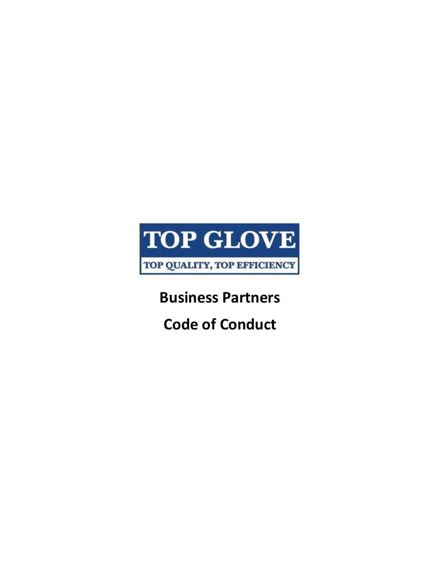

**Business Partners**

**Code of Conduct**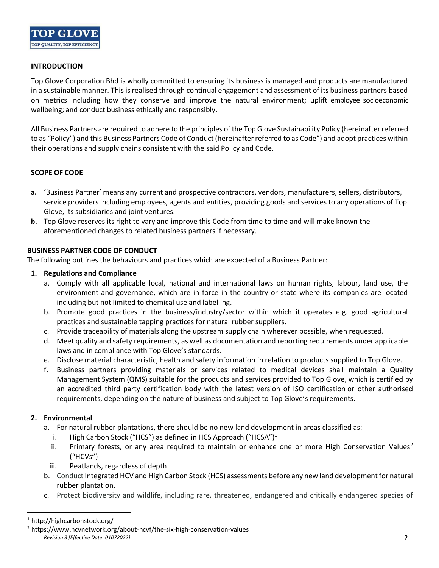

#### **INTRODUCTION**

Top Glove Corporation Bhd is wholly committed to ensuring its business is managed and products are manufactured in a sustainable manner. This is realised through continual engagement and assessment of its business partners based on metrics including how they conserve and improve the natural environment; uplift employee socioeconomic wellbeing; and conduct business ethically and responsibly.

All Business Partners are required to adhere to the principles of the Top Glove Sustainability Policy (hereinafter referred to as "Policy") and this Business Partners Code of Conduct (hereinafter referred to as Code") and adopt practices within their operations and supply chains consistent with the said Policy and Code.

# **SCOPE OF CODE**

- **a.** 'Business Partner' means any current and prospective contractors, vendors, manufacturers, sellers, distributors, service providers including employees, agents and entities, providing goods and services to any operations of Top Glove, its subsidiaries and joint ventures.
- **b.** Top Glove reserves its right to vary and improve this Code from time to time and will make known the aforementioned changes to related business partners if necessary.

# **BUSINESS PARTNER CODE OF CONDUCT**

The following outlines the behaviours and practices which are expected of a Business Partner:

#### **1. Regulations and Compliance**

- a. Comply with all applicable local, national and international laws on human rights, labour, land use, the environment and governance, which are in force in the country or state where its companies are located including but not limited to chemical use and labelling.
- b. Promote good practices in the business/industry/sector within which it operates e.g. good agricultural practices and sustainable tapping practices for natural rubber suppliers.
- c. Provide traceability of materials along the upstream supply chain wherever possible, when requested.
- d. Meet quality and safety requirements, as well as documentation and reporting requirements under applicable laws and in compliance with Top Glove's standards.
- e. Disclose material characteristic, health and safety information in relation to products supplied to Top Glove.
- f. Business partners providing materials or services related to medical devices shall maintain a Quality Management System (QMS) suitable for the products and services provided to Top Glove, which is certified by an accredited third party certification body with the latest version of ISO certification or other authorised requirements, depending on the nature of business and subject to Top Glove's requirements.

# **2. Environmental**

- a. For natural rubber plantations, there should be no new land development in areas classified as:
	- i. High Carbon Stock ("HCS") as defined in HCS Approach ("HCSA")<sup>1</sup>
	- ii. Primary forests, or any area required to maintain or enhance one or more High Conservation Values<sup>2</sup> ("HCVs")
	- iii. Peatlands, regardless of depth
- b. Conduct Integrated HCV and High Carbon Stock (HCS) assessments before any new land development for natural rubber plantation.
- c. Protect biodiversity and wildlife, including rare, threatened, endangered and critically endangered species of

<sup>1</sup> http://highcarbonstock.org/

*Revision 3 [Effective Date: 01072022]* 2 <sup>2</sup> https://www.hcvnetwork.org/about-hcvf/the-six-high-conservation-values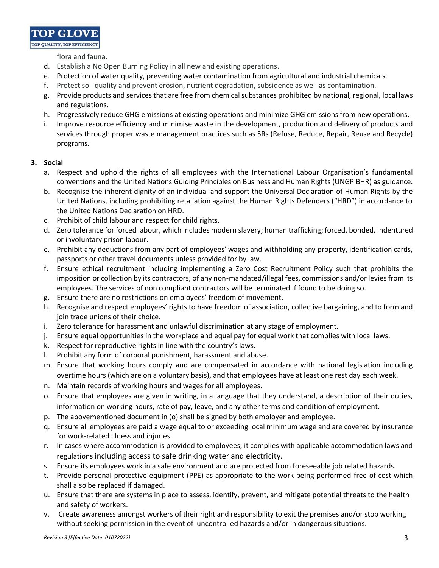**TOP GLOV** TOP QUALITY, TOP EFFICIENCY

flora and fauna.

- d. Establish a No Open Burning Policy in all new and existing operations.
- e. Protection of water quality, preventing water contamination from agricultural and industrial chemicals.
- f. Protect soil quality and prevent erosion, nutrient degradation, subsidence as well as contamination.
- g. Provide products and services that are free from chemical substances prohibited by national, regional, local laws and regulations.
- h. Progressively reduce GHG emissions at existing operations and minimize GHG emissions from new operations.
- i. Improve resource efficiency and minimise waste in the development, production and delivery of products and services through proper waste management practices such as 5Rs (Refuse, Reduce, Repair, Reuse and Recycle) programs**.**

# **3. Social**

- a. Respect and uphold the rights of all employees with the International Labour Organisation's fundamental conventions and the United Nations Guiding Principles on Business and Human Rights (UNGP BHR) as guidance.
- b. Recognise the inherent dignity of an individual and support the Universal Declaration of Human Rights by the United Nations, including prohibiting retaliation against the Human Rights Defenders ("HRD") in accordance to the United Nations Declaration on HRD.
- c. Prohibit of child labour and respect for child rights.
- d. Zero tolerance for forced labour, which includes modern slavery; human trafficking; forced, bonded, indentured or involuntary prison labour.
- e. Prohibit any deductions from any part of employees' wages and withholding any property, identification cards, passports or other travel documents unless provided for by law.
- f. Ensure ethical recruitment including implementing a Zero Cost Recruitment Policy such that prohibits the imposition or collection by its contractors, of any non-mandated/illegal fees, commissions and/or levies from its employees. The services of non compliant contractors will be terminated if found to be doing so.
- g. Ensure there are no restrictions on employees' freedom of movement.
- h. Recognise and respect employees' rights to have freedom of association, collective bargaining, and to form and join trade unions of their choice.
- i. Zero tolerance for harassment and unlawful discrimination at any stage of employment.
- j. Ensure equal opportunities in the workplace and equal pay for equal work that complies with local laws.
- k. Respect for reproductive rights in line with the country's laws.
- l. Prohibit any form of corporal punishment, harassment and abuse.
- m. Ensure that working hours comply and are compensated in accordance with national legislation including overtime hours (which are on a voluntary basis), and that employees have at least one rest day each week.
- n. Maintain records of working hours and wages for all employees.
- o. Ensure that employees are given in writing, in a language that they understand, a description of their duties, information on working hours, rate of pay, leave, and any other terms and condition of employment.
- p. The abovementioned document in (o) shall be signed by both employer and employee.
- q. Ensure all employees are paid a wage equal to or exceeding local minimum wage and are covered by insurance for work-related illness and injuries.
- r. In cases where accommodation is provided to employees, it complies with applicable accommodation laws and regulations including access to safe drinking water and electricity.
- s. Ensure its employees work in a safe environment and are protected from foreseeable job related hazards.
- t. Provide personal protective equipment (PPE) as appropriate to the work being performed free of cost which shall also be replaced if damaged.
- u. Ensure that there are systems in place to assess, identify, prevent, and mitigate potential threats to the health and safety of workers.
- v. Create awareness amongst workers of their right and responsibility to exit the premises and/or stop working without seeking permission in the event of uncontrolled hazards and/or in dangerous situations.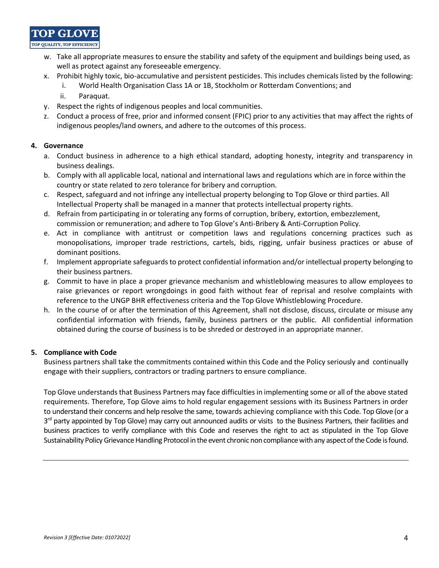

- w. Take all appropriate measures to ensure the stability and safety of the equipment and buildings being used, as well as protect against any foreseeable emergency.
- x. Prohibit highly toxic, bio-accumulative and persistent pesticides. This includes chemicals listed by the following:
	- i. World Health Organisation Class 1A or 1B, Stockholm or Rotterdam Conventions; and
	- ii. Paraquat.
- y. Respect the rights of indigenous peoples and local communities.
- z. Conduct a process of free, prior and informed consent (FPIC) prior to any activities that may affect the rights of indigenous peoples/land owners, and adhere to the outcomes of this process.

# **4. Governance**

- a. Conduct business in adherence to a high ethical standard, adopting honesty, integrity and transparency in business dealings.
- b. Comply with all applicable local, national and international laws and regulations which are in force within the country or state related to zero tolerance for bribery and corruption.
- c. Respect, safeguard and not infringe any intellectual property belonging to Top Glove or third parties. All Intellectual Property shall be managed in a manner that protects intellectual property rights.
- d. Refrain from participating in or tolerating any forms of corruption, bribery, extortion, embezzlement, commission or remuneration; and adhere to Top Glove's Anti-Bribery & Anti-Corruption Policy.
- e. Act in compliance with antitrust or competition laws and regulations concerning practices such as monopolisations, improper trade restrictions, cartels, bids, rigging, unfair business practices or abuse of dominant positions.
- f. Implement appropriate safeguards to protect confidential information and/or intellectual property belonging to their business partners.
- g. Commit to have in place a proper grievance mechanism and whistleblowing measures to allow employees to raise grievances or report wrongdoings in good faith without fear of reprisal and resolve complaints with reference to the UNGP BHR effectiveness criteria and the Top Glove Whistleblowing Procedure.
- h. In the course of or after the termination of this Agreement, shall not disclose, discuss, circulate or misuse any confidential information with friends, family, business partners or the public. All confidential information obtained during the course of business is to be shreded or destroyed in an appropriate manner.

# **5. Compliance with Code**

Business partners shall take the commitments contained within this Code and the Policy seriously and continually engage with their suppliers, contractors or trading partners to ensure compliance.

Top Glove understands that Business Partners may face difficulties in implementing some or all of the above stated requirements. Therefore, Top Glove aims to hold regular engagement sessions with its Business Partners in order to understand their concerns and help resolve the same, towards achieving compliance with this Code. Top Glove (or a 3<sup>rd</sup> party appointed by Top Glove) may carry out announced audits or visits to the Business Partners, their facilities and business practices to verify compliance with this Code and reserves the right to act as stipulated in the Top Glove Sustainability Policy Grievance Handling Protocol in the event chronic noncompliance with any aspect of the Code is found.